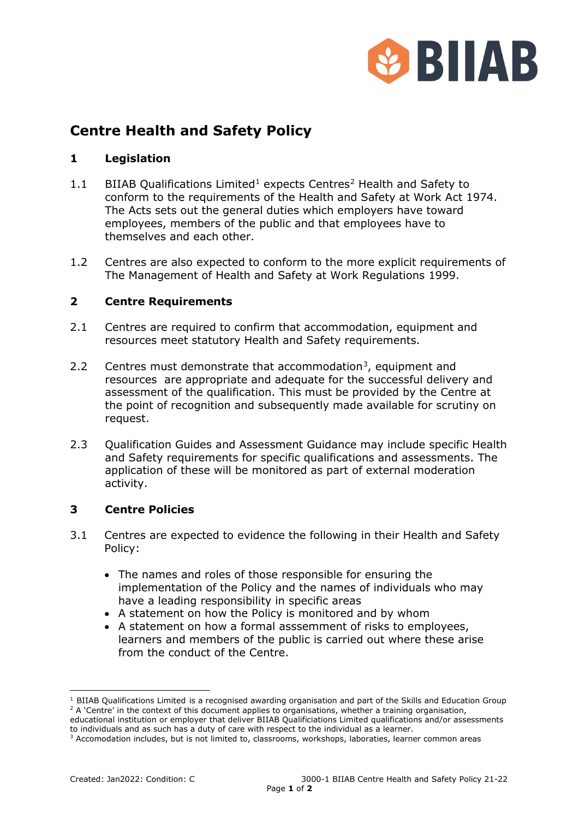

# **Centre Health and Safety Policy**

## **1 Legislation**

- [1](#page-0-0).1 BIIAB Qualifications Limited<sup>1</sup> expects Centres<sup>[2](#page-0-1)</sup> Health and Safety to conform to the requirements of the Health and Safety at Work Act 1974. The Acts sets out the general duties which employers have toward employees, members of the public and that employees have to themselves and each other.
- 1.2 Centres are also expected to conform to the more explicit requirements of The Management of Health and Safety at Work Regulations 1999.

### **2 Centre Requirements**

- 2.1 Centres are required to confirm that accommodation, equipment and resources meet statutory Health and Safety requirements.
- 2.2 Centres must demonstrate that accommodation<sup>[3](#page-0-2)</sup>, equipment and resources are appropriate and adequate for the successful delivery and assessment of the qualification. This must be provided by the Centre at the point of recognition and subsequently made available for scrutiny on request.
- 2.3 Oualification Guides and Assessment Guidance may include specific Health and Safety requirements for specific qualifications and assessments. The application of these will be monitored as part of external moderation activity.

### **3 Centre Policies**

- 3.1 Centres are expected to evidence the following in their Health and Safety Policy:
	- The names and roles of those responsible for ensuring the implementation of the Policy and the names of individuals who may have a leading responsibility in specific areas
	- A statement on how the Policy is monitored and by whom
	- A statement on how a formal asssemment of risks to employees, learners and members of the public is carried out where these arise from the conduct of the Centre.

<span id="page-0-0"></span><sup>&</sup>lt;sup>1</sup> BIIAB Qualifications Limited is a recognised awarding organisation and part of the Skills and Education Group  $2$  A 'Centre' in the context of this document applies to organisations, whether a training organisation,

<span id="page-0-1"></span>educational institution or employer that deliver BIIAB Qualificiations Limited qualifications and/or assessments to individuals and as such has a duty of care with respect to the individual as a learner.

<span id="page-0-2"></span><sup>&</sup>lt;sup>3</sup> Accomodation includes, but is not limited to, classrooms, workshops, laboraties, learner common areas